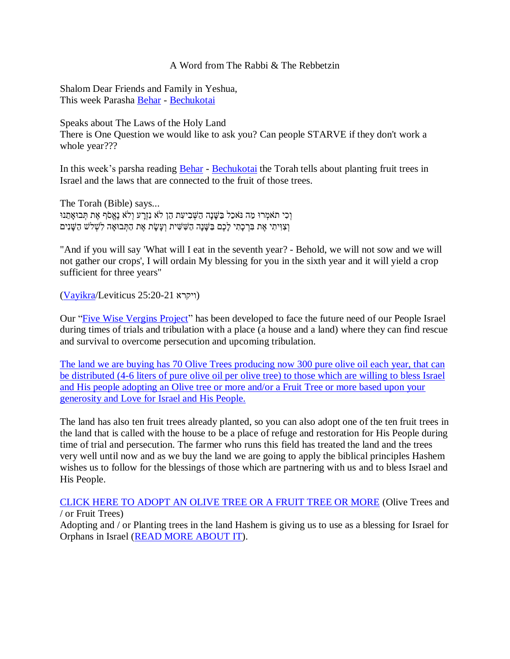## A Word from The Rabbi & The Rebbetzin

Shalom Dear Friends and Family in Yeshua, This week Parasha [Behar](https://villageofhopejusticeministry.org/2019/07/13/torah-portion-behar-porzione-di-torah-behar/) - [Bechukotai](https://villageofhopejusticeministry.org/2019/07/14/torah-portion-bechukotai-porzione-di-torah-bechukotai/)

Speaks about The Laws of the Holy Land

There is One Question we would like to ask you? Can people STARVE if they don't work a whole year???

In this week's parsha reading **Behar** - [Bechukotai](https://villageofhopejusticeministry.org/2019/07/14/torah-portion-bechukotai-porzione-di-torah-bechukotai/) the Torah tells about planting fruit trees in Israel and the laws that are connected to the fruit of those trees.

The Torah (Bible) says... וְכִי תֹאמְרוּ מַה נּאכַל בַּשֶּׁנָה הַשְּׁבִיעָת הֵן לֹא נִזְרָע וְלֹא נֵאֲסֹף אֶת תִּבוּאָתֵנוּ וְ צִ ּוִ יתִ י אֶ ת בִ רְ כָּׁתִ י לָּׁכֶם בַ שָּׁ נָּׁה הַשִ שִ ית וְ עָּׁשָּׁ ת אֶ ת הַתְ בּואָּׁ ה לִשְ לש הַשָּׁ נִים

"And if you will say 'What will I eat in the seventh year? - Behold, we will not sow and we will not gather our crops', I will ordain My blessing for you in the sixth year and it will yield a crop sufficient for three years"

[\(Vayikra/](https://villageofhopejusticeministry.org/2018/03/17/torah-portion-vayikra-5778-porzione-di-torah-vayikra-5778/)Leviticus 25:20-21 ויקרא(

Our ["Five Wise](https://www.youtube.com/watch?v=krHCw0BPbqc) Vergins Project" has been developed to face the future need of our People Israel during times of trials and tribulation with a place (a house and a land) where they can find rescue and survival to overcome persecution and upcoming tribulation.

The land we are buying [has 70 Olive Trees producing now 300 pure olive oil each](https://villageofhopejusticeministry.files.wordpress.com/2021/05/the-five-wise-virgins-agricultural-project-5.pdf) year, that can [be distributed \(4-6 liters of pure olive oil per olive tree\) to those which are willing to bless Israel](https://villageofhopejusticeministry.files.wordpress.com/2021/05/the-five-wise-virgins-agricultural-project-5.pdf)  [and His people adopting an Olive tree or more and/or a Fruit Tree or more based upon your](https://villageofhopejusticeministry.files.wordpress.com/2021/05/the-five-wise-virgins-agricultural-project-5.pdf)  [generosity and Love for Israel and His People.](https://villageofhopejusticeministry.files.wordpress.com/2021/05/the-five-wise-virgins-agricultural-project-5.pdf)

The land has also ten fruit trees already planted, so you can also adopt one of the ten fruit trees in the land that is called with the house to be a place of refuge and restoration for His People during time of trial and persecution. The farmer who runs this field has treated the land and the trees very well until now and as we buy the land we are going to apply the biblical principles Hashem wishes us to follow for the blessings of those which are partnering with us and to bless Israel and His People.

CLICK HERE TO ADOPT [AN OLIVE TREE OR A FRUIT TREE OR MORE](https://villageofhopejusticeministry.files.wordpress.com/2021/05/the-five-wise-virgins-agricultural-project-5.pdf) (Olive Trees and / or Fruit Trees)

Adopting and / or Planting trees in the land Hashem is giving us to use as a blessing for Israel for Orphans in Israel [\(READ MORE ABOUT IT\)](https://villageofhopejusticeministry.files.wordpress.com/2021/05/the-five-wise-virgins-agricultural-project-5.pdf).